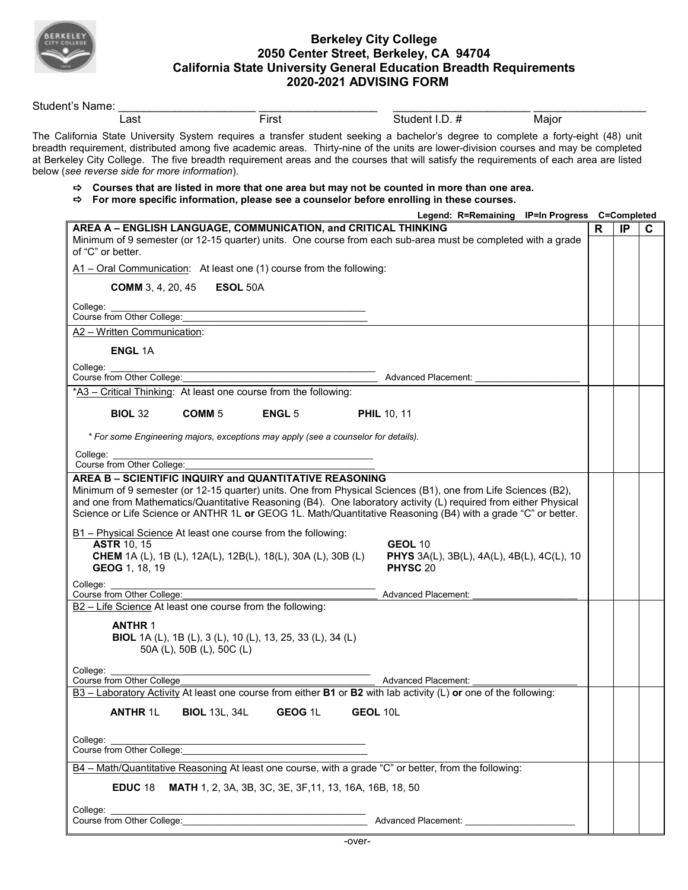

## **Berkeley City College 2050 Center Street, Berkeley, CA 94704 California State University General Education Breadth Requirements 2020-2021 ADVISING FORM**

| Student's Name:                                                                    |                           |                                                                        |                                                                                                                                                                                                                                                                                                                                                                                                                       |                                                |   |    |
|------------------------------------------------------------------------------------|---------------------------|------------------------------------------------------------------------|-----------------------------------------------------------------------------------------------------------------------------------------------------------------------------------------------------------------------------------------------------------------------------------------------------------------------------------------------------------------------------------------------------------------------|------------------------------------------------|---|----|
| Last                                                                               |                           | First                                                                  | Student I.D. #                                                                                                                                                                                                                                                                                                                                                                                                        | Major                                          |   |    |
| below (see reverse side for more information).                                     |                           |                                                                        | The California State University System requires a transfer student seeking a bachelor's degree to complete a forty-eight (48) unit<br>breadth requirement, distributed among five academic areas. Thirty-nine of the units are lower-division courses and may be completed<br>at Berkeley City College. The five breadth requirement areas and the courses that will satisfy the requirements of each area are listed |                                                |   |    |
|                                                                                    |                           |                                                                        | $\Rightarrow$ Courses that are listed in more that one area but may not be counted in more than one area.<br>$\Rightarrow$ For more specific information, please see a counselor before enrolling in these courses.                                                                                                                                                                                                   |                                                |   |    |
|                                                                                    |                           |                                                                        |                                                                                                                                                                                                                                                                                                                                                                                                                       | Legend: R=Remaining IP=In Progress C=Completed |   |    |
| of "C" or better.                                                                  |                           | AREA A - ENGLISH LANGUAGE, COMMUNICATION, and CRITICAL THINKING        | Minimum of 9 semester (or 12-15 quarter) units. One course from each sub-area must be completed with a grade                                                                                                                                                                                                                                                                                                          |                                                | R | IP |
|                                                                                    |                           | A1 - Oral Communication: At least one (1) course from the following:   |                                                                                                                                                                                                                                                                                                                                                                                                                       |                                                |   |    |
| <b>COMM</b> 3, 4, 20, 45                                                           | ESOL 50A                  |                                                                        |                                                                                                                                                                                                                                                                                                                                                                                                                       |                                                |   |    |
| College:<br>Course from Other College:                                             |                           |                                                                        |                                                                                                                                                                                                                                                                                                                                                                                                                       |                                                |   |    |
| A2 - Written Communication:                                                        |                           |                                                                        |                                                                                                                                                                                                                                                                                                                                                                                                                       |                                                |   |    |
| <b>ENGL 1A</b>                                                                     |                           |                                                                        |                                                                                                                                                                                                                                                                                                                                                                                                                       |                                                |   |    |
| College:                                                                           |                           |                                                                        |                                                                                                                                                                                                                                                                                                                                                                                                                       |                                                |   |    |
| Course from Other College:                                                         |                           |                                                                        | <b>Advanced Placement:</b>                                                                                                                                                                                                                                                                                                                                                                                            |                                                |   |    |
|                                                                                    |                           | *A3 - Critical Thinking: At least one course from the following:       |                                                                                                                                                                                                                                                                                                                                                                                                                       |                                                |   |    |
| <b>BIOL 32</b>                                                                     | COMM <sub>5</sub>         | <b>ENGL 5</b>                                                          | <b>PHIL 10, 11</b>                                                                                                                                                                                                                                                                                                                                                                                                    |                                                |   |    |
|                                                                                    |                           |                                                                        |                                                                                                                                                                                                                                                                                                                                                                                                                       |                                                |   |    |
| * For some Engineering majors, exceptions may apply (see a counselor for details). |                           |                                                                        |                                                                                                                                                                                                                                                                                                                                                                                                                       |                                                |   |    |
|                                                                                    |                           |                                                                        |                                                                                                                                                                                                                                                                                                                                                                                                                       |                                                |   |    |
| College:                                                                           |                           |                                                                        |                                                                                                                                                                                                                                                                                                                                                                                                                       |                                                |   |    |
| Course from Other College:                                                         |                           |                                                                        |                                                                                                                                                                                                                                                                                                                                                                                                                       |                                                |   |    |
|                                                                                    |                           | AREA B - SCIENTIFIC INQUIRY and QUANTITATIVE REASONING                 |                                                                                                                                                                                                                                                                                                                                                                                                                       |                                                |   |    |
|                                                                                    |                           |                                                                        | Minimum of 9 semester (or 12-15 quarter) units. One from Physical Sciences (B1), one from Life Sciences (B2),                                                                                                                                                                                                                                                                                                         |                                                |   |    |
|                                                                                    |                           |                                                                        | and one from Mathematics/Quantitative Reasoning (B4). One laboratory activity (L) required from either Physical                                                                                                                                                                                                                                                                                                       |                                                |   |    |
|                                                                                    |                           |                                                                        | Science or Life Science or ANTHR 1L or GEOG 1L. Math/Quantitative Reasoning (B4) with a grade "C" or better.                                                                                                                                                                                                                                                                                                          |                                                |   |    |
|                                                                                    |                           |                                                                        |                                                                                                                                                                                                                                                                                                                                                                                                                       |                                                |   |    |
|                                                                                    |                           | B1 - Physical Science At least one course from the following:          |                                                                                                                                                                                                                                                                                                                                                                                                                       |                                                |   |    |
| <b>ASTR 10, 15</b>                                                                 |                           |                                                                        | GEOL 10                                                                                                                                                                                                                                                                                                                                                                                                               |                                                |   |    |
|                                                                                    |                           | <b>CHEM</b> 1A (L), 1B (L), 12A(L), 12B(L), 18(L), 30A (L), 30B (L)    | PHYS 3A(L), 3B(L), 4A(L), 4B(L), 4C(L), 10<br>PHYSC <sub>20</sub>                                                                                                                                                                                                                                                                                                                                                     |                                                |   |    |
| GEOG 1, 18, 19                                                                     |                           |                                                                        |                                                                                                                                                                                                                                                                                                                                                                                                                       |                                                |   |    |
| College:<br>Course from Other College:                                             |                           |                                                                        | <b>Advanced Placement:</b>                                                                                                                                                                                                                                                                                                                                                                                            |                                                |   |    |
| B2 - Life Science At least one course from the following:                          |                           |                                                                        |                                                                                                                                                                                                                                                                                                                                                                                                                       |                                                |   |    |
| <b>ANTHR 1</b>                                                                     |                           |                                                                        |                                                                                                                                                                                                                                                                                                                                                                                                                       |                                                |   |    |
|                                                                                    |                           | BIOL 1A (L), 1B (L), 3 (L), 10 (L), 13, 25, 33 (L), 34 (L)             |                                                                                                                                                                                                                                                                                                                                                                                                                       |                                                |   |    |
|                                                                                    | 50A (L), 50B (L), 50C (L) |                                                                        |                                                                                                                                                                                                                                                                                                                                                                                                                       |                                                |   |    |
|                                                                                    |                           |                                                                        |                                                                                                                                                                                                                                                                                                                                                                                                                       |                                                |   |    |
| College:<br>Course from Other College                                              |                           |                                                                        | <b>Advanced Placement:</b>                                                                                                                                                                                                                                                                                                                                                                                            |                                                |   |    |
|                                                                                    |                           |                                                                        | B3 - Laboratory Activity At least one course from either B1 or B2 with lab activity (L) or one of the following:                                                                                                                                                                                                                                                                                                      |                                                |   |    |
| <b>ANTHR 1L</b>                                                                    | <b>BIOL 13L, 34L</b>      | GEOG <sub>1L</sub>                                                     | <b>GEOL 10L</b>                                                                                                                                                                                                                                                                                                                                                                                                       |                                                |   |    |
|                                                                                    |                           |                                                                        |                                                                                                                                                                                                                                                                                                                                                                                                                       |                                                |   |    |
| College:                                                                           |                           |                                                                        |                                                                                                                                                                                                                                                                                                                                                                                                                       |                                                |   |    |
| Course from Other College:                                                         |                           |                                                                        |                                                                                                                                                                                                                                                                                                                                                                                                                       |                                                |   |    |
|                                                                                    |                           |                                                                        | B4 - Math/Quantitative Reasoning At least one course, with a grade "C" or better, from the following:                                                                                                                                                                                                                                                                                                                 |                                                |   |    |
|                                                                                    |                           |                                                                        |                                                                                                                                                                                                                                                                                                                                                                                                                       |                                                |   |    |
|                                                                                    |                           | <b>EDUC 18 MATH 1, 2, 3A, 3B, 3C, 3E, 3F, 11, 13, 16A, 16B, 18, 50</b> |                                                                                                                                                                                                                                                                                                                                                                                                                       |                                                |   |    |
| College:                                                                           |                           | Course from Other College:                                             | Advanced Placement: Advanced Placement:                                                                                                                                                                                                                                                                                                                                                                               |                                                |   |    |